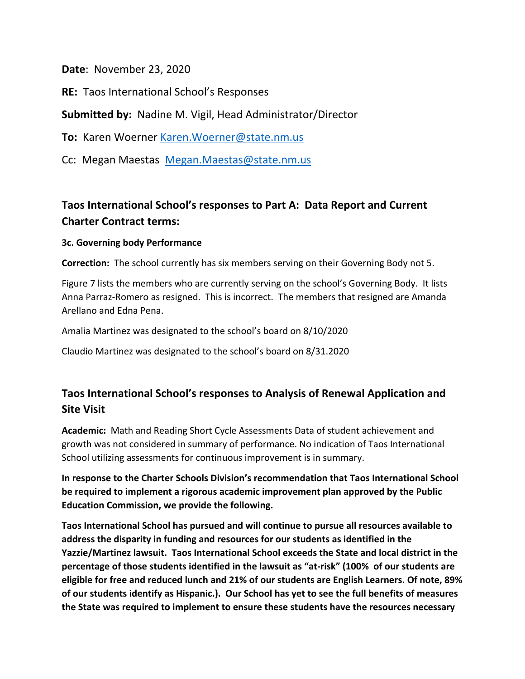**Date**: November 23, 2020

**RE:** Taos International School's Responses

**Submitted by:** Nadine M. Vigil, Head Administrator/Director

**To:** Karen Woerner [Karen.Woerner@state.nm.us](mailto:Karen.Woerner@state.nm.us)

Cc: Megan Maestas [Megan.Maestas@state.nm.us](mailto:Megan.Maestas@state.nm.us)

## **Taos International School's responses to Part A: Data Report and Current Charter Contract terms:**

## **3c. Governing body Performance**

**Correction:** The school currently has six members serving on their Governing Body not 5.

Figure 7 lists the members who are currently serving on the school's Governing Body. It lists Anna Parraz-Romero as resigned. This is incorrect. The members that resigned are Amanda Arellano and Edna Pena.

Amalia Martinez was designated to the school's board on 8/10/2020

Claudio Martinez was designated to the school's board on 8/31.2020

## **Taos International School's responses to Analysis of Renewal Application and Site Visit**

**Academic:** Math and Reading Short Cycle Assessments Data of student achievement and growth was not considered in summary of performance. No indication of Taos International School utilizing assessments for continuous improvement is in summary.

**In response to the Charter Schools Division's recommendation that Taos International School be required to implement a rigorous academic improvement plan approved by the Public Education Commission, we provide the following.**

**Taos International School has pursued and will continue to pursue all resources available to address the disparity in funding and resources for our students as identified in the Yazzie/Martinez lawsuit. Taos International School exceeds the State and local district in the percentage of those students identified in the lawsuit as "at-risk" (100% of our students are eligible for free and reduced lunch and 21% of our students are English Learners. Of note, 89% of our students identify as Hispanic.). Our School has yet to see the full benefits of measures the State was required to implement to ensure these students have the resources necessary**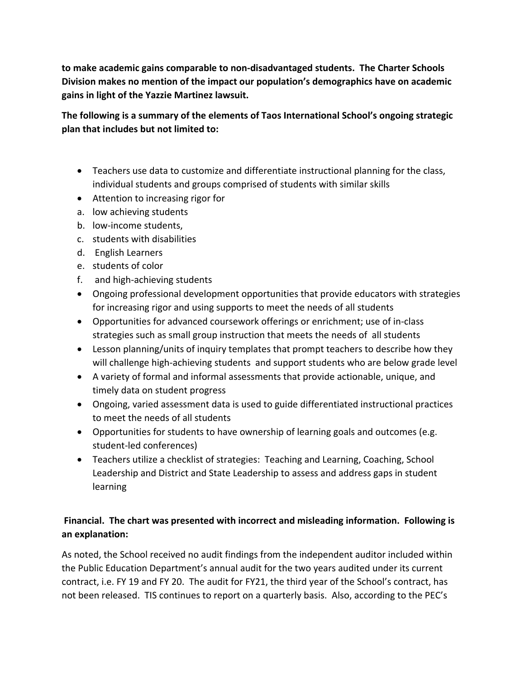**to make academic gains comparable to non-disadvantaged students. The Charter Schools Division makes no mention of the impact our population's demographics have on academic gains in light of the Yazzie Martinez lawsuit.** 

**The following is a summary of the elements of Taos International School's ongoing strategic plan that includes but not limited to:** 

- Teachers use data to customize and differentiate instructional planning for the class, individual students and groups comprised of students with similar skills
- Attention to increasing rigor for
- a. low achieving students
- b. low-income students,
- c. students with disabilities
- d. English Learners
- e. students of color
- f. and high-achieving students
- Ongoing professional development opportunities that provide educators with strategies for increasing rigor and using supports to meet the needs of all students
- Opportunities for advanced coursework offerings or enrichment; use of in-class strategies such as small group instruction that meets the needs of all students
- Lesson planning/units of inquiry templates that prompt teachers to describe how they will challenge high-achieving students and support students who are below grade level
- A variety of formal and informal assessments that provide actionable, unique, and timely data on student progress
- Ongoing, varied assessment data is used to guide differentiated instructional practices to meet the needs of all students
- Opportunities for students to have ownership of learning goals and outcomes (e.g. student-led conferences)
- Teachers utilize a checklist of strategies: Teaching and Learning, Coaching, School Leadership and District and State Leadership to assess and address gaps in student learning

## **Financial. The chart was presented with incorrect and misleading information. Following is an explanation:**

As noted, the School received no audit findings from the independent auditor included within the Public Education Department's annual audit for the two years audited under its current contract, i.e. FY 19 and FY 20. The audit for FY21, the third year of the School's contract, has not been released. TIS continues to report on a quarterly basis. Also, according to the PEC's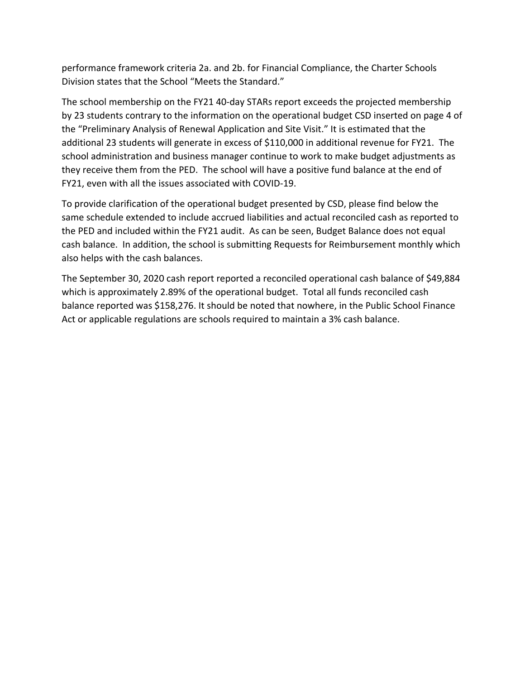performance framework criteria 2a. and 2b. for Financial Compliance, the Charter Schools Division states that the School "Meets the Standard."

The school membership on the FY21 40-day STARs report exceeds the projected membership by 23 students contrary to the information on the operational budget CSD inserted on page 4 of the "Preliminary Analysis of Renewal Application and Site Visit." It is estimated that the additional 23 students will generate in excess of \$110,000 in additional revenue for FY21. The school administration and business manager continue to work to make budget adjustments as they receive them from the PED. The school will have a positive fund balance at the end of FY21, even with all the issues associated with COVID-19.

To provide clarification of the operational budget presented by CSD, please find below the same schedule extended to include accrued liabilities and actual reconciled cash as reported to the PED and included within the FY21 audit. As can be seen, Budget Balance does not equal cash balance. In addition, the school is submitting Requests for Reimbursement monthly which also helps with the cash balances.

The September 30, 2020 cash report reported a reconciled operational cash balance of \$49,884 which is approximately 2.89% of the operational budget. Total all funds reconciled cash balance reported was \$158,276. It should be noted that nowhere, in the Public School Finance Act or applicable regulations are schools required to maintain a 3% cash balance.